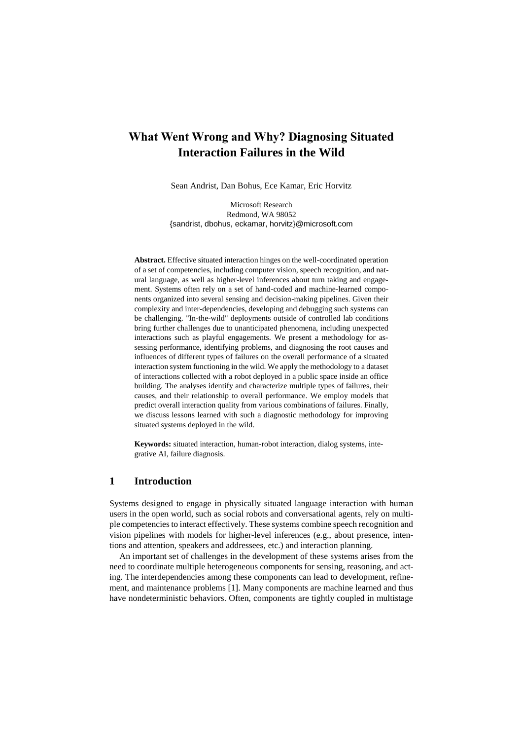# **What Went Wrong and Why? Diagnosing Situated Interaction Failures in the Wild**

Sean Andrist, Dan Bohus, Ece Kamar, Eric Horvitz

Microsoft Research Redmond, WA 98052 {sandrist, dbohus, eckamar, horvitz}@microsoft.com

**Abstract.** Effective situated interaction hinges on the well-coordinated operation of a set of competencies, including computer vision, speech recognition, and natural language, as well as higher-level inferences about turn taking and engagement. Systems often rely on a set of hand-coded and machine-learned components organized into several sensing and decision-making pipelines. Given their complexity and inter-dependencies, developing and debugging such systems can be challenging. "In-the-wild" deployments outside of controlled lab conditions bring further challenges due to unanticipated phenomena, including unexpected interactions such as playful engagements. We present a methodology for assessing performance, identifying problems, and diagnosing the root causes and influences of different types of failures on the overall performance of a situated interaction system functioning in the wild. We apply the methodology to a dataset of interactions collected with a robot deployed in a public space inside an office building. The analyses identify and characterize multiple types of failures, their causes, and their relationship to overall performance. We employ models that predict overall interaction quality from various combinations of failures. Finally, we discuss lessons learned with such a diagnostic methodology for improving situated systems deployed in the wild.

**Keywords:** situated interaction, human-robot interaction, dialog systems, integrative AI, failure diagnosis.

## **1 Introduction**

Systems designed to engage in physically situated language interaction with human users in the open world, such as social robots and conversational agents, rely on multiple competencies to interact effectively. These systems combine speech recognition and vision pipelines with models for higher-level inferences (e.g., about presence, intentions and attention, speakers and addressees, etc.) and interaction planning.

An important set of challenges in the development of these systems arises from the need to coordinate multiple heterogeneous components for sensing, reasoning, and acting. The interdependencies among these components can lead to development, refinement, and maintenance problems [1]. Many components are machine learned and thus have nondeterministic behaviors. Often, components are tightly coupled in multistage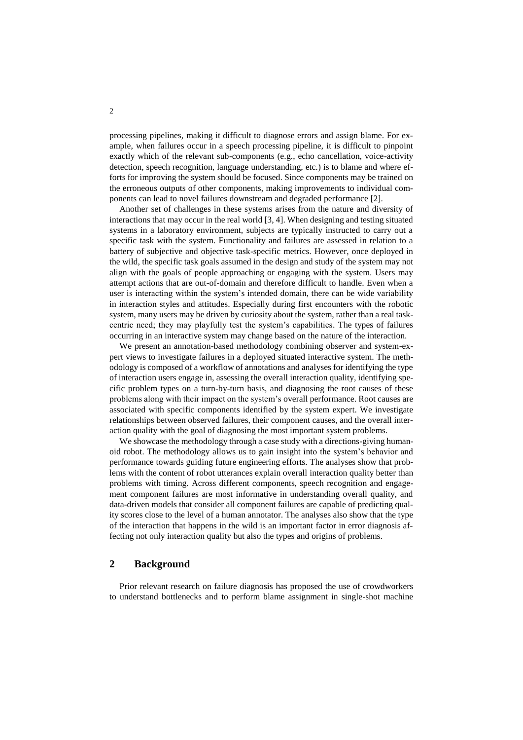processing pipelines, making it difficult to diagnose errors and assign blame. For example, when failures occur in a speech processing pipeline, it is difficult to pinpoint exactly which of the relevant sub-components (e.g., echo cancellation, voice-activity detection, speech recognition, language understanding, etc.) is to blame and where efforts for improving the system should be focused. Since components may be trained on the erroneous outputs of other components, making improvements to individual components can lead to novel failures downstream and degraded performance [2].

Another set of challenges in these systems arises from the nature and diversity of interactions that may occur in the real world [3, 4]. When designing and testing situated systems in a laboratory environment, subjects are typically instructed to carry out a specific task with the system. Functionality and failures are assessed in relation to a battery of subjective and objective task-specific metrics. However, once deployed in the wild, the specific task goals assumed in the design and study of the system may not align with the goals of people approaching or engaging with the system. Users may attempt actions that are out-of-domain and therefore difficult to handle. Even when a user is interacting within the system's intended domain, there can be wide variability in interaction styles and attitudes. Especially during first encounters with the robotic system, many users may be driven by curiosity about the system, rather than a real taskcentric need; they may playfully test the system's capabilities. The types of failures occurring in an interactive system may change based on the nature of the interaction.

We present an annotation-based methodology combining observer and system-expert views to investigate failures in a deployed situated interactive system. The methodology is composed of a workflow of annotations and analyses for identifying the type of interaction users engage in, assessing the overall interaction quality, identifying specific problem types on a turn-by-turn basis, and diagnosing the root causes of these problems along with their impact on the system's overall performance. Root causes are associated with specific components identified by the system expert. We investigate relationships between observed failures, their component causes, and the overall interaction quality with the goal of diagnosing the most important system problems.

We showcase the methodology through a case study with a directions-giving humanoid robot. The methodology allows us to gain insight into the system's behavior and performance towards guiding future engineering efforts. The analyses show that problems with the content of robot utterances explain overall interaction quality better than problems with timing. Across different components, speech recognition and engagement component failures are most informative in understanding overall quality, and data-driven models that consider all component failures are capable of predicting quality scores close to the level of a human annotator. The analyses also show that the type of the interaction that happens in the wild is an important factor in error diagnosis affecting not only interaction quality but also the types and origins of problems.

## **2 Background**

Prior relevant research on failure diagnosis has proposed the use of crowdworkers to understand bottlenecks and to perform blame assignment in single-shot machine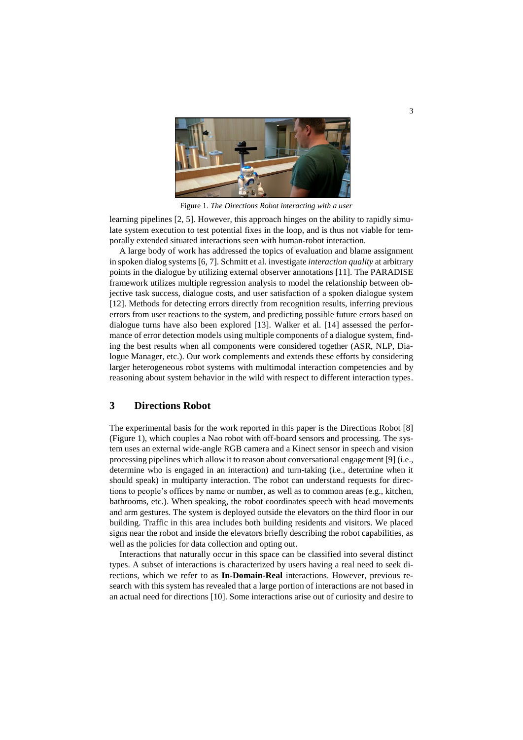

Figure 1. *The Directions Robot interacting with a user*

learning pipelines [2, 5]. However, this approach hinges on the ability to rapidly simulate system execution to test potential fixes in the loop, and is thus not viable for temporally extended situated interactions seen with human-robot interaction.

A large body of work has addressed the topics of evaluation and blame assignment in spoken dialog systems [6, 7]. Schmitt et al. investigate *interaction quality* at arbitrary points in the dialogue by utilizing external observer annotations [11]. The PARADISE framework utilizes multiple regression analysis to model the relationship between objective task success, dialogue costs, and user satisfaction of a spoken dialogue system [12]. Methods for detecting errors directly from recognition results, inferring previous errors from user reactions to the system, and predicting possible future errors based on dialogue turns have also been explored [13]. Walker et al. [14] assessed the performance of error detection models using multiple components of a dialogue system, finding the best results when all components were considered together (ASR, NLP, Dialogue Manager, etc.). Our work complements and extends these efforts by considering larger heterogeneous robot systems with multimodal interaction competencies and by reasoning about system behavior in the wild with respect to different interaction types.

## **3 Directions Robot**

The experimental basis for the work reported in this paper is the Directions Robot [8] (Figure 1), which couples a Nao robot with off-board sensors and processing. The system uses an external wide-angle RGB camera and a Kinect sensor in speech and vision processing pipelines which allow it to reason about conversational engagement [9] (i.e., determine who is engaged in an interaction) and turn-taking (i.e., determine when it should speak) in multiparty interaction. The robot can understand requests for directions to people's offices by name or number, as well as to common areas (e.g., kitchen, bathrooms, etc.). When speaking, the robot coordinates speech with head movements and arm gestures. The system is deployed outside the elevators on the third floor in our building. Traffic in this area includes both building residents and visitors. We placed signs near the robot and inside the elevators briefly describing the robot capabilities, as well as the policies for data collection and opting out.

Interactions that naturally occur in this space can be classified into several distinct types. A subset of interactions is characterized by users having a real need to seek directions, which we refer to as **In-Domain-Real** interactions. However, previous research with this system has revealed that a large portion of interactions are not based in an actual need for directions [10]. Some interactions arise out of curiosity and desire to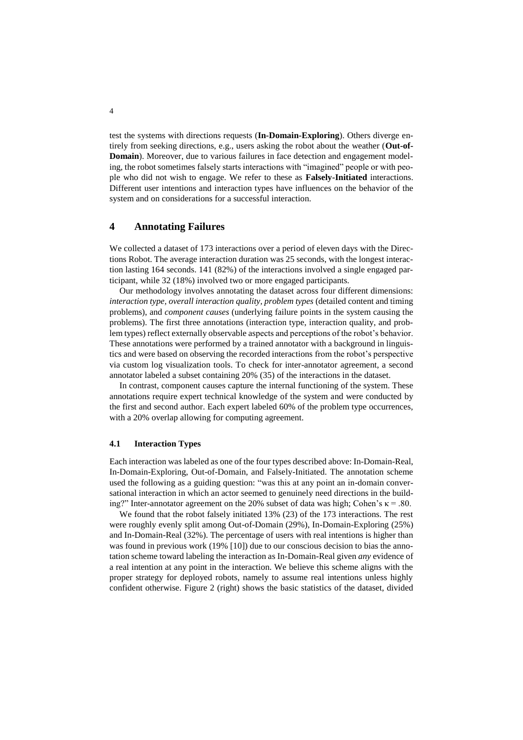test the systems with directions requests (**In-Domain-Exploring**). Others diverge entirely from seeking directions, e.g., users asking the robot about the weather (**Out-of-Domain**). Moreover, due to various failures in face detection and engagement modeling, the robot sometimes falsely starts interactions with "imagined" people or with people who did not wish to engage. We refer to these as **Falsely-Initiated** interactions. Different user intentions and interaction types have influences on the behavior of the system and on considerations for a successful interaction.

# **4 Annotating Failures**

We collected a dataset of 173 interactions over a period of eleven days with the Directions Robot. The average interaction duration was 25 seconds, with the longest interaction lasting 164 seconds. 141 (82%) of the interactions involved a single engaged participant, while 32 (18%) involved two or more engaged participants.

Our methodology involves annotating the dataset across four different dimensions: *interaction type, overall interaction quality, problem types* (detailed content and timing problems), and *component causes* (underlying failure points in the system causing the problems). The first three annotations (interaction type, interaction quality, and problem types) reflect externally observable aspects and perceptions of the robot's behavior. These annotations were performed by a trained annotator with a background in linguistics and were based on observing the recorded interactions from the robot's perspective via custom log visualization tools. To check for inter-annotator agreement, a second annotator labeled a subset containing 20% (35) of the interactions in the dataset.

In contrast, component causes capture the internal functioning of the system. These annotations require expert technical knowledge of the system and were conducted by the first and second author. Each expert labeled 60% of the problem type occurrences, with a 20% overlap allowing for computing agreement.

#### **4.1 Interaction Types**

Each interaction was labeled as one of the four types described above: In-Domain-Real, In-Domain-Exploring, Out-of-Domain, and Falsely-Initiated. The annotation scheme used the following as a guiding question: "was this at any point an in-domain conversational interaction in which an actor seemed to genuinely need directions in the building?" Inter-annotator agreement on the 20% subset of data was high; Cohen's  $\kappa = .80$ .

We found that the robot falsely initiated 13% (23) of the 173 interactions. The rest were roughly evenly split among Out-of-Domain (29%), In-Domain-Exploring (25%) and In-Domain-Real (32%). The percentage of users with real intentions is higher than was found in previous work (19% [10]) due to our conscious decision to bias the annotation scheme toward labeling the interaction as In-Domain-Real given *any* evidence of a real intention at any point in the interaction. We believe this scheme aligns with the proper strategy for deployed robots, namely to assume real intentions unless highly confident otherwise. Figure 2 (right) shows the basic statistics of the dataset, divided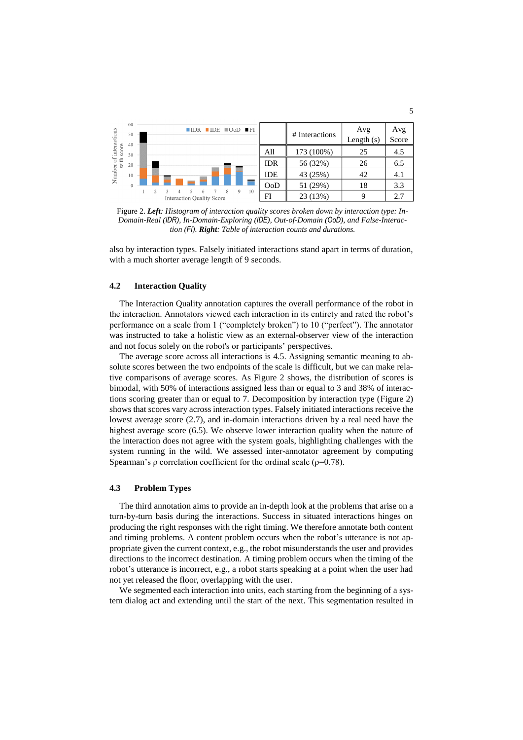| interactions<br>score<br>er of :<br>with :<br>Number | 60<br>50<br>40 | ×. |                                  | $IDR$ $IDE$ $IOD$ $IF$ |          | # Interactions | Avg<br>Length $(s)$ | Avg<br>Score |  |  |  |
|------------------------------------------------------|----------------|----|----------------------------------|------------------------|----------|----------------|---------------------|--------------|--|--|--|
|                                                      | 30             |    |                                  |                        | All      | 173 (100%)     | 25                  | 4.5          |  |  |  |
|                                                      | 20             |    |                                  | <b>IDR</b>             | 56 (32%) | 26             | 6.5                 |              |  |  |  |
|                                                      | 10             |    |                                  | <b>IDE</b>             | 43 (25%) | 42             | 4.1                 |              |  |  |  |
|                                                      |                |    |                                  |                        | OoD      | 51 (29%)       | 18                  | 3.3          |  |  |  |
|                                                      |                |    | <b>Interaction Quality Score</b> | 10<br>9<br>8           | FI       | 23 (13%)       |                     | 2.7          |  |  |  |

Figure 2. *Left: Histogram of interaction quality scores broken down by interaction type: In-Domain-Real (IDR), In-Domain-Exploring (IDE), Out-of-Domain (OoD), and False-Interaction (FI). Right: Table of interaction counts and durations.*

also by interaction types. Falsely initiated interactions stand apart in terms of duration, with a much shorter average length of 9 seconds.

#### **4.2 Interaction Quality**

The Interaction Quality annotation captures the overall performance of the robot in the interaction. Annotators viewed each interaction in its entirety and rated the robot's performance on a scale from 1 ("completely broken") to 10 ("perfect"). The annotator was instructed to take a holistic view as an external-observer view of the interaction and not focus solely on the robot's or participants' perspectives.

The average score across all interactions is 4.5. Assigning semantic meaning to absolute scores between the two endpoints of the scale is difficult, but we can make relative comparisons of average scores. As Figure 2 shows, the distribution of scores is bimodal, with 50% of interactions assigned less than or equal to 3 and 38% of interactions scoring greater than or equal to 7. Decomposition by interaction type (Figure 2) shows that scores vary across interaction types. Falsely initiated interactions receive the lowest average score (2.7), and in-domain interactions driven by a real need have the highest average score (6.5). We observe lower interaction quality when the nature of the interaction does not agree with the system goals, highlighting challenges with the system running in the wild. We assessed inter-annotator agreement by computing Spearman's ρ correlation coefficient for the ordinal scale ( $\rho$ =0.78).

#### **4.3 Problem Types**

The third annotation aims to provide an in-depth look at the problems that arise on a turn-by-turn basis during the interactions. Success in situated interactions hinges on producing the right responses with the right timing. We therefore annotate both content and timing problems. A content problem occurs when the robot's utterance is not appropriate given the current context, e.g., the robot misunderstands the user and provides directions to the incorrect destination. A timing problem occurs when the timing of the robot's utterance is incorrect, e.g., a robot starts speaking at a point when the user had not yet released the floor, overlapping with the user.

We segmented each interaction into units, each starting from the beginning of a system dialog act and extending until the start of the next. This segmentation resulted in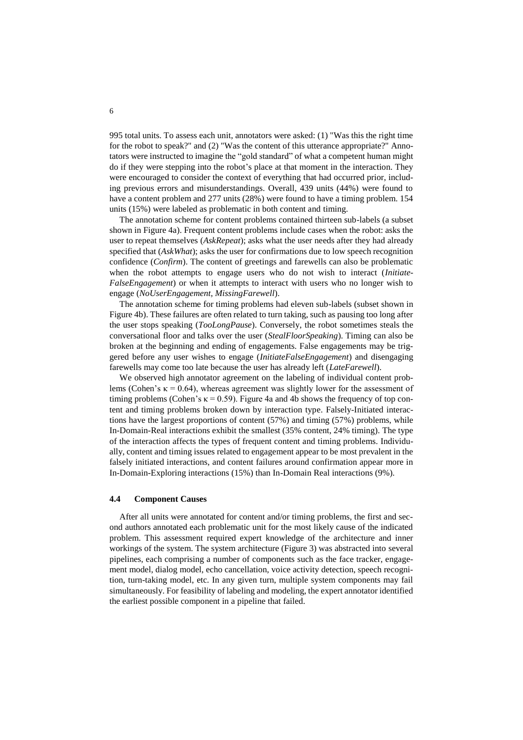995 total units. To assess each unit, annotators were asked: (1) "Was this the right time for the robot to speak?" and (2) "Was the content of this utterance appropriate?" Annotators were instructed to imagine the "gold standard" of what a competent human might do if they were stepping into the robot's place at that moment in the interaction. They were encouraged to consider the context of everything that had occurred prior, including previous errors and misunderstandings. Overall, 439 units (44%) were found to have a content problem and 277 units (28%) were found to have a timing problem. 154 units (15%) were labeled as problematic in both content and timing.

The annotation scheme for content problems contained thirteen sub-labels (a subset shown in Figure 4a). Frequent content problems include cases when the robot: asks the user to repeat themselves (*AskRepeat*); asks what the user needs after they had already specified that (*AskWhat*); asks the user for confirmations due to low speech recognition confidence (*Confirm*). The content of greetings and farewells can also be problematic when the robot attempts to engage users who do not wish to interact (*Initiate-FalseEngagement*) or when it attempts to interact with users who no longer wish to engage (*NoUserEngagement*, *MissingFarewell*).

The annotation scheme for timing problems had eleven sub-labels (subset shown in Figure 4b). These failures are often related to turn taking, such as pausing too long after the user stops speaking (*TooLongPause*). Conversely, the robot sometimes steals the conversational floor and talks over the user (*StealFloorSpeaking*). Timing can also be broken at the beginning and ending of engagements. False engagements may be triggered before any user wishes to engage (*InitiateFalseEngagement*) and disengaging farewells may come too late because the user has already left (*LateFarewell*).

We observed high annotator agreement on the labeling of individual content problems (Cohen's  $\kappa$  = 0.64), whereas agreement was slightly lower for the assessment of timing problems (Cohen's  $\kappa = 0.59$ ). Figure 4a and 4b shows the frequency of top content and timing problems broken down by interaction type. Falsely-Initiated interactions have the largest proportions of content (57%) and timing (57%) problems, while In-Domain-Real interactions exhibit the smallest (35% content, 24% timing). The type of the interaction affects the types of frequent content and timing problems. Individually, content and timing issues related to engagement appear to be most prevalent in the falsely initiated interactions, and content failures around confirmation appear more in In-Domain-Exploring interactions (15%) than In-Domain Real interactions (9%).

#### **4.4 Component Causes**

After all units were annotated for content and/or timing problems, the first and second authors annotated each problematic unit for the most likely cause of the indicated problem. This assessment required expert knowledge of the architecture and inner workings of the system. The system architecture (Figure 3) was abstracted into several pipelines, each comprising a number of components such as the face tracker, engagement model, dialog model, echo cancellation, voice activity detection, speech recognition, turn-taking model, etc. In any given turn, multiple system components may fail simultaneously. For feasibility of labeling and modeling, the expert annotator identified the earliest possible component in a pipeline that failed.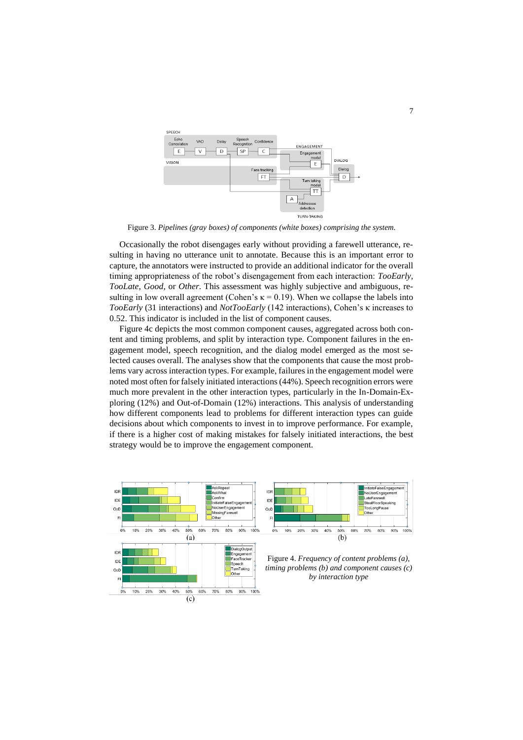

Figure 3. *Pipelines (gray boxes) of components (white boxes) comprising the system.*

Occasionally the robot disengages early without providing a farewell utterance, resulting in having no utterance unit to annotate. Because this is an important error to capture, the annotators were instructed to provide an additional indicator for the overall timing appropriateness of the robot's disengagement from each interaction: *TooEarly*, *TooLate*, *Good*, or *Other*. This assessment was highly subjective and ambiguous, resulting in low overall agreement (Cohen's  $\kappa = 0.19$ ). When we collapse the labels into *TooEarly* (31 interactions) and *NotTooEarly* (142 interactions), Cohen's κ increases to 0.52. This indicator is included in the list of component causes.

Figure 4c depicts the most common component causes, aggregated across both content and timing problems, and split by interaction type. Component failures in the engagement model, speech recognition, and the dialog model emerged as the most selected causes overall. The analyses show that the components that cause the most problems vary across interaction types. For example, failures in the engagement model were noted most often for falsely initiated interactions (44%). Speech recognition errors were much more prevalent in the other interaction types, particularly in the In-Domain-Exploring (12%) and Out-of-Domain (12%) interactions. This analysis of understanding how different components lead to problems for different interaction types can guide decisions about which components to invest in to improve performance. For example, if there is a higher cost of making mistakes for falsely initiated interactions, the best strategy would be to improve the engagement component.

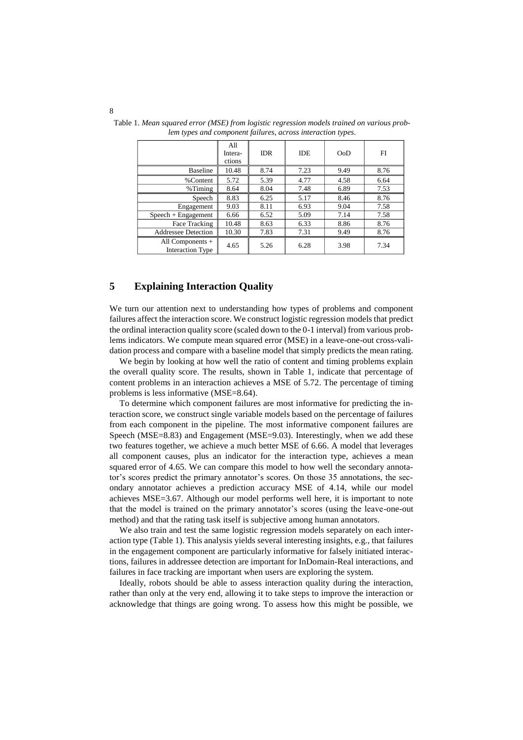|                                               | All<br>Intera-<br>ctions | <b>IDR</b> | <b>IDE</b> | OoD  | FI   |
|-----------------------------------------------|--------------------------|------------|------------|------|------|
| <b>Baseline</b>                               | 10.48                    | 8.74       | 7.23       | 9.49 | 8.76 |
| %Content                                      | 5.72                     | 5.39       | 4.77       | 4.58 | 6.64 |
| $%$ Timing                                    | 8.64                     | 8.04       | 7.48       | 6.89 | 7.53 |
| Speech                                        | 8.83                     | 6.25       | 5.17       | 8.46 | 8.76 |
| Engagement                                    | 9.03                     | 8.11       | 6.93       | 9.04 | 7.58 |
| $Speech + Engagement$                         | 6.66                     | 6.52       | 5.09       | 7.14 | 7.58 |
| Face Tracking                                 | 10.48                    | 8.63       | 6.33       | 8.86 | 8.76 |
| <b>Addressee Detection</b>                    | 10.30                    | 7.83       | 7.31       | 9.49 | 8.76 |
| All Components $+$<br><b>Interaction Type</b> | 4.65                     | 5.26       | 6.28       | 3.98 | 7.34 |

Table 1. *Mean squared error (MSE) from logistic regression models trained on various problem types and component failures, across interaction types.*

# **5 Explaining Interaction Quality**

We turn our attention next to understanding how types of problems and component failures affect the interaction score. We construct logistic regression models that predict the ordinal interaction quality score (scaled down to the 0-1 interval) from various problems indicators. We compute mean squared error (MSE) in a leave-one-out cross-validation process and compare with a baseline model that simply predicts the mean rating.

We begin by looking at how well the ratio of content and timing problems explain the overall quality score. The results, shown in Table 1, indicate that percentage of content problems in an interaction achieves a MSE of 5.72. The percentage of timing problems is less informative (MSE=8.64).

To determine which component failures are most informative for predicting the interaction score, we construct single variable models based on the percentage of failures from each component in the pipeline. The most informative component failures are Speech (MSE=8.83) and Engagement (MSE=9.03). Interestingly, when we add these two features together, we achieve a much better MSE of 6.66. A model that leverages all component causes, plus an indicator for the interaction type, achieves a mean squared error of 4.65. We can compare this model to how well the secondary annotator's scores predict the primary annotator's scores. On those 35 annotations, the secondary annotator achieves a prediction accuracy MSE of 4.14, while our model achieves MSE=3.67. Although our model performs well here, it is important to note that the model is trained on the primary annotator's scores (using the leave-one-out method) and that the rating task itself is subjective among human annotators.

We also train and test the same logistic regression models separately on each interaction type (Table 1). This analysis yields several interesting insights, e.g., that failures in the engagement component are particularly informative for falsely initiated interactions, failures in addressee detection are important for InDomain-Real interactions, and failures in face tracking are important when users are exploring the system.

Ideally, robots should be able to assess interaction quality during the interaction, rather than only at the very end, allowing it to take steps to improve the interaction or acknowledge that things are going wrong. To assess how this might be possible, we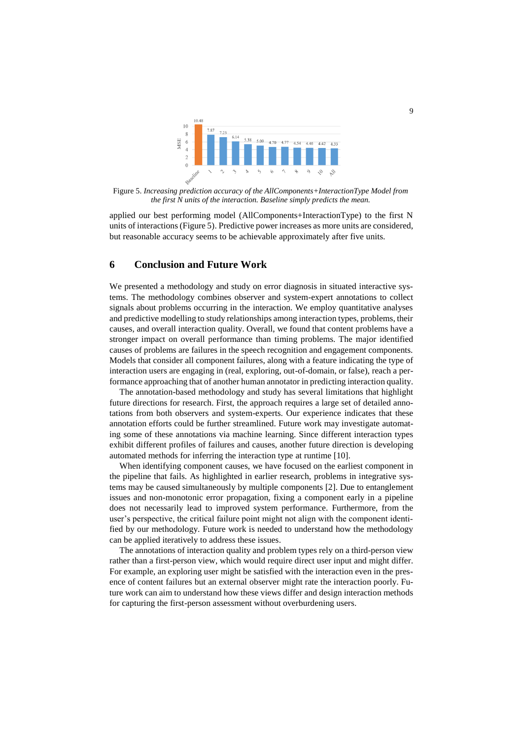

Figure 5. *Increasing prediction accuracy of the AllComponents+InteractionType Model from the first N units of the interaction. Baseline simply predicts the mean.*

applied our best performing model (AllComponents+InteractionType) to the first N units of interactions (Figure 5). Predictive power increases as more units are considered, but reasonable accuracy seems to be achievable approximately after five units.

### **6 Conclusion and Future Work**

We presented a methodology and study on error diagnosis in situated interactive systems. The methodology combines observer and system-expert annotations to collect signals about problems occurring in the interaction. We employ quantitative analyses and predictive modelling to study relationships among interaction types, problems, their causes, and overall interaction quality. Overall, we found that content problems have a stronger impact on overall performance than timing problems. The major identified causes of problems are failures in the speech recognition and engagement components. Models that consider all component failures, along with a feature indicating the type of interaction users are engaging in (real, exploring, out-of-domain, or false), reach a performance approaching that of another human annotator in predicting interaction quality.

The annotation-based methodology and study has several limitations that highlight future directions for research. First, the approach requires a large set of detailed annotations from both observers and system-experts. Our experience indicates that these annotation efforts could be further streamlined. Future work may investigate automating some of these annotations via machine learning. Since different interaction types exhibit different profiles of failures and causes, another future direction is developing automated methods for inferring the interaction type at runtime [10].

When identifying component causes, we have focused on the earliest component in the pipeline that fails. As highlighted in earlier research, problems in integrative systems may be caused simultaneously by multiple components [2]. Due to entanglement issues and non-monotonic error propagation, fixing a component early in a pipeline does not necessarily lead to improved system performance. Furthermore, from the user's perspective, the critical failure point might not align with the component identified by our methodology. Future work is needed to understand how the methodology can be applied iteratively to address these issues.

The annotations of interaction quality and problem types rely on a third-person view rather than a first-person view, which would require direct user input and might differ. For example, an exploring user might be satisfied with the interaction even in the presence of content failures but an external observer might rate the interaction poorly. Future work can aim to understand how these views differ and design interaction methods for capturing the first-person assessment without overburdening users.